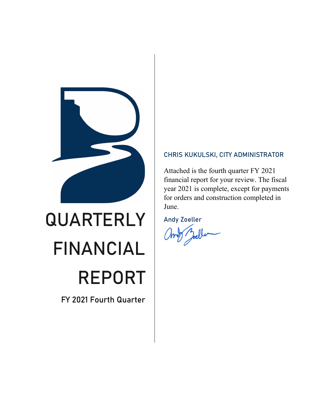

# QUARTERLY FINANCIAL REPORT

FY 2021 Fourth Quarter

### CHRIS KUKULSKI, CITY ADMINISTRATOR

Attached is the fourth quarter FY 2021 financial report for your review. The fiscal year 2021 is complete, except for payments for orders and construction completed in June.

Andy Zoeller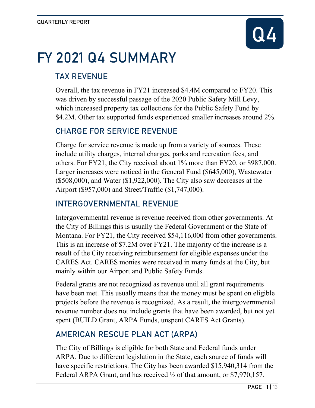

# FY 2021 Q4 SUMMARY

# TAX REVENUE

Overall, the tax revenue in FY21 increased \$4.4M compared to FY20. This was driven by successful passage of the 2020 Public Safety Mill Levy, which increased property tax collections for the Public Safety Fund by \$4.2M. Other tax supported funds experienced smaller increases around 2%.

# CHARGE FOR SERVICE REVENUE

Charge for service revenue is made up from a variety of sources. These include utility charges, internal charges, parks and recreation fees, and others. For FY21, the City received about 1% more than FY20, or \$987,000. Larger increases were noticed in the General Fund (\$645,000), Wastewater  $($508,000)$ , and Water  $($1,922,000)$ . The City also saw decreases at the Airport (\$957,000) and Street/Traffic (\$1,747,000).

# INTERGOVERNMENTAL REVENUE

Intergovernmental revenue is revenue received from other governments. At the City of Billings this is usually the Federal Government or the State of Montana. For FY21, the City received \$54,116,000 from other governments. This is an increase of \$7.2M over FY21. The majority of the increase is a result of the City receiving reimbursement for eligible expenses under the CARES Act. CARES monies were received in many funds at the City, but mainly within our Airport and Public Safety Funds.

Federal grants are not recognized as revenue until all grant requirements have been met. This usually means that the money must be spent on eligible projects before the revenue is recognized. As a result, the intergovernmental revenue number does not include grants that have been awarded, but not yet spent (BUILD Grant, ARPA Funds, unspent CARES Act Grants).

# AMERICAN RESCUE PLAN ACT (ARPA)

The City of Billings is eligible for both State and Federal funds under ARPA. Due to different legislation in the State, each source of funds will have specific restrictions. The City has been awarded \$15,940,314 from the Federal ARPA Grant, and has received  $\frac{1}{2}$  of that amount, or \$7,970,157.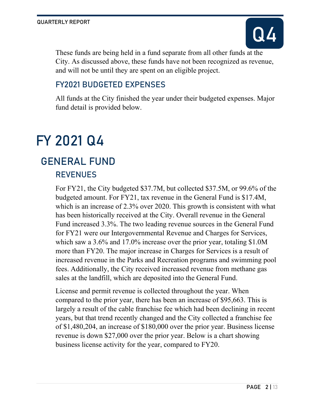

These funds are being held in a fund separate from all other funds at the City. As discussed above, these funds have not been recognized as revenue, and will not be until they are spent on an eligible project.

# FY2021 BUDGETED EXPENSES

All funds at the City finished the year under their budgeted expenses. Major fund detail is provided below.

# FY 2021 Q4

# REVENUES GENERAL FUND

For FY21, the City budgeted \$37.7M, but collected \$37.5M, or 99.6% of the budgeted amount. For FY21, tax revenue in the General Fund is \$17.4M, which is an increase of 2.3% over 2020. This growth is consistent with what has been historically received at the City. Overall revenue in the General Fund increased 3.3%. The two leading revenue sources in the General Fund for FY21 were our Intergovernmental Revenue and Charges for Services, which saw a 3.6% and 17.0% increase over the prior year, totaling \$1.0M more than FY20. The major increase in Charges for Services is a result of increased revenue in the Parks and Recreation programs and swimming pool fees. Additionally, the City received increased revenue from methane gas sales at the landfill, which are deposited into the General Fund.

License and permit revenue is collected throughout the year. When compared to the prior year, there has been an increase of \$95,663. This is largely a result of the cable franchise fee which had been declining in recent years, but that trend recently changed and the City collected a franchise fee of \$1,480,204, an increase of \$180,000 over the prior year. Business license revenue is down \$27,000 over the prior year. Below is a chart showing business license activity for the year, compared to FY20.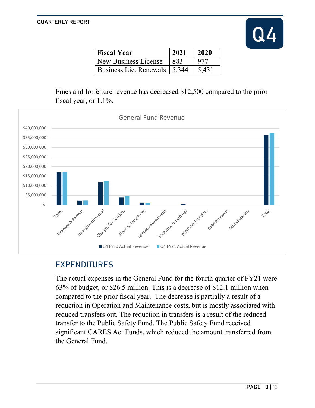

| <b>Fiscal Year</b>             | 2021 | $\frac{12020}{20}$ |
|--------------------------------|------|--------------------|
| New Business License           | 883  | 977                |
| Business Lic. Renewals   5,344 |      | 15.431             |

Fines and forfeiture revenue has decreased \$12,500 compared to the prior fiscal year, or 1.1%.



### EXPENDITURES

The actual expenses in the General Fund for the fourth quarter of FY21 were 63% of budget, or \$26.5 million. This is a decrease of \$12.1 million when compared to the prior fiscal year. The decrease is partially a result of a reduction in Operation and Maintenance costs, but is mostly associated with reduced transfers out. The reduction in transfers is a result of the reduced transfer to the Public Safety Fund. The Public Safety Fund received significant CARES Act Funds, which reduced the amount transferred from the General Fund.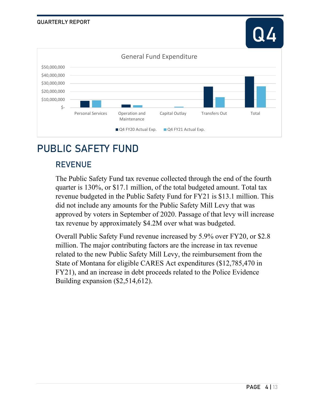



# PUBLIC SAFETY FUND

### REVENUE

The Public Safety Fund tax revenue collected through the end of the fourth quarter is 130%, or \$17.1 million, of the total budgeted amount. Total tax revenue budgeted in the Public Safety Fund for FY21 is \$13.1 million. This did not include any amounts for the Public Safety Mill Levy that was approved by voters in September of 2020. Passage of that levy will increase tax revenue by approximately \$4.2M over what was budgeted.

Overall Public Safety Fund revenue increased by 5.9% over FY20, or \$2.8 million. The major contributing factors are the increase in tax revenue related to the new Public Safety Mill Levy, the reimbursement from the State of Montana for eligible CARES Act expenditures (\$12,785,470 in FY21), and an increase in debt proceeds related to the Police Evidence Building expansion (\$2,514,612).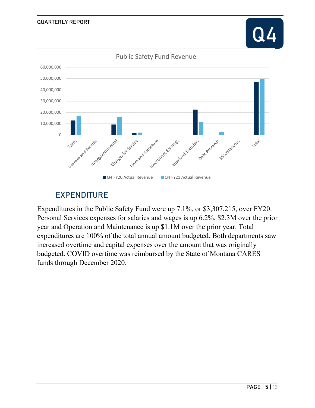

# EXPENDITURE

Expenditures in the Public Safety Fund were up 7.1%, or \$3,307,215, over FY20. Personal Services expenses for salaries and wages is up 6.2%, \$2.3M over the prior year and Operation and Maintenance is up \$1.1M over the prior year. Total expenditures are 100% of the total annual amount budgeted. Both departments saw increased overtime and capital expenses over the amount that was originally budgeted. COVID overtime was reimbursed by the State of Montana CARES funds through December 2020.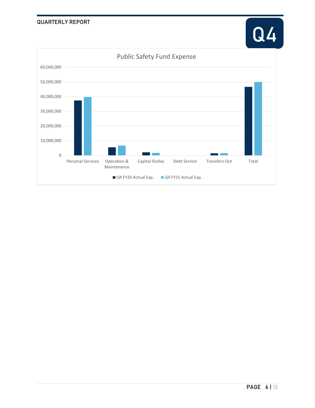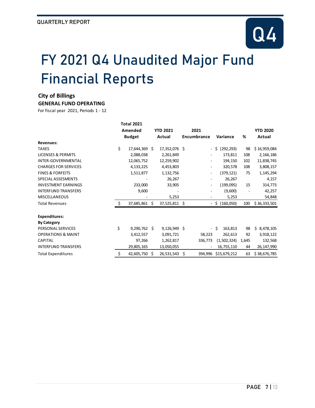

# FY 2021 Q4 Unaudited Major Fund Financial Reports

#### **City of Billings**

#### **GENERAL FUND OPERATING**

|                               | <b>Total 2021</b> |                |  |                 |     |             |                  |       |                 |
|-------------------------------|-------------------|----------------|--|-----------------|-----|-------------|------------------|-------|-----------------|
|                               |                   | Amended        |  | <b>YTD 2021</b> |     | 2021        |                  |       | <b>YTD 2020</b> |
|                               |                   | <b>Budget</b>  |  | Actual          |     | Encumbrance | Variance         | %     | Actual          |
| <b>Revenues:</b>              |                   |                |  |                 |     |             |                  |       |                 |
| <b>TAXES</b>                  | \$                | 17,644,369 \$  |  | 17,352,076 \$   |     |             | (292, 293)<br>Ŝ. | 98    | \$16,959,084    |
| <b>LICENSES &amp; PERMITS</b> |                   | 2,088,038      |  | 2,261,849       |     |             | 173,811          | 108   | 2,166,186       |
| <b>INTER-GOVERNMENTAL</b>     |                   | 12,065,752     |  | 12,259,902      |     |             | 194,150          | 102   | 11,838,745      |
| <b>CHARGES FOR SERVICES</b>   |                   | 4,133,225      |  | 4,453,803       |     |             | 320,578          | 108   | 3,808,157       |
| <b>FINES &amp; FORFEITS</b>   |                   | 1,511,877      |  | 1,132,756       |     |             | (379, 121)       | 75    | 1,145,294       |
| SPECIAL ASSESMENTS            |                   |                |  | 26,267          |     |             | 26,267           |       | 4,157           |
| <b>INVESTMENT EARNINGS</b>    |                   | 233,000        |  | 33,905          |     |             | (199,095)        | 15    | 314,773         |
| <b>INTERFUND TRANSFERS</b>    |                   | 9,600          |  |                 |     |             | (9,600)          |       | 42,257          |
| <b>MISCELLANEOUS</b>          |                   |                |  | 5,253           |     |             | 5,253            |       | 54,848          |
| <b>Total Revenues</b>         | \$                | 37,685,861 \$  |  | 37,525,811      | -\$ |             | (160,050)<br>- S | 100   | \$36,333,501    |
| <b>Expenditures:</b>          |                   |                |  |                 |     |             |                  |       |                 |
| <b>By Category</b>            |                   |                |  |                 |     |             |                  |       |                 |
| PERSONAL SERVICES             | \$                | $9,290,762$ \$ |  | 9,126,949       | -Ś  | ۰.          | Ŝ.<br>163,813    | 98    | Ŝ.<br>8,478,105 |
| <b>OPERATIONS &amp; MAINT</b> |                   | 3,412,557      |  | 3,091,721       |     | 58,223      | 262,613          | 92    | 3,918,122       |
| <b>CAPITAL</b>                |                   | 97,266         |  | 1,262,817       |     | 336,773     | (1,502,324)      | 1,645 | 132,568         |
| <b>INTERFUND TRANSFERS</b>    |                   | 29,805,165     |  | 13,050,055      |     |             | 16,755,110       | 44    | 26, 147, 990    |
| <b>Total Expenditures</b>     | \$                | 42,605,750 \$  |  | 26,531,543      | \$  | 394,996     | \$15,679,212     | 63    | \$38,676,785    |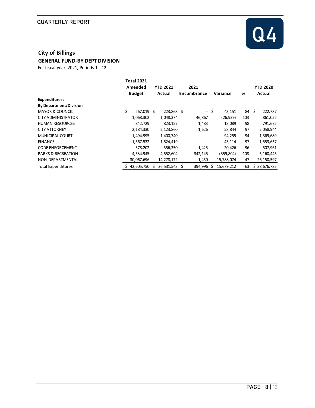

#### **City of Billings GENERAL FUND-BY DEPT DIVISION**

|                               | <b>Total 2021</b><br>Amended |   | <b>YTD 2021</b> | 2021        |      |            |     |     | <b>YTD 2020</b> |
|-------------------------------|------------------------------|---|-----------------|-------------|------|------------|-----|-----|-----------------|
|                               | <b>Budget</b>                |   | Actual          | Encumbrance |      | Variance   | %   |     | Actual          |
| Expenditures:                 |                              |   |                 |             |      |            |     |     |                 |
| <b>By Department/Division</b> |                              |   |                 |             |      |            |     |     |                 |
| <b>MAYOR &amp; COUNCIL</b>    | \$<br>267,019 \$             |   | 223,868 \$      |             | - \$ | 43,151     | 84  | -\$ | 222,787         |
| CITY ADMINISTRATOR            | 1,068,302                    |   | 1,048,374       | 46,867      |      | (26, 939)  | 103 |     | 861,052         |
| <b>HUMAN RESOURCES</b>        | 842,729                      |   | 823,157         | 1,483       |      | 18,089     | 98  |     | 791,672         |
| <b>CITY ATTORNEY</b>          | 2,184,330                    |   | 2,123,860       | 1,626       |      | 58,844     | 97  |     | 2,058,944       |
| <b>MUNICIPAL COURT</b>        | 1,494,995                    |   | 1,400,740       |             |      | 94,255     | 94  |     | 1,369,689       |
| <b>FINANCE</b>                | 1,567,532                    |   | 1,524,419       |             |      | 43,114     | 97  |     | 1,553,637       |
| <b>CODE ENFORCEMENT</b>       | 578,202                      |   | 556,350         | 1,425       |      | 20,426     | 96  |     | 507,961         |
| <b>PARKS &amp; RECREATION</b> | 4,534,945                    |   | 4,552,604       | 342,145     |      | (359, 804) | 108 |     | 5,160,445       |
| NON-DEPARTMENTAL              | 30,067,696                   |   | 14,278,172      | 1,450       |      | 15,788,074 | 47  |     | 26, 150, 597    |
| <b>Total Expenditures</b>     | 42,605,750                   | Ŝ | 26,531,543 \$   | 394,996     | Ŝ.   | 15,679,212 | 63  |     | \$38,676,785    |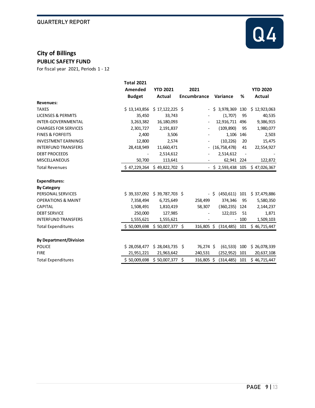

# **City of Billings**

**PUBLIC SAFETY FUND**

|                               | <b>Total 2021</b> |                  |                              |                  |                              |                 |
|-------------------------------|-------------------|------------------|------------------------------|------------------|------------------------------|-----------------|
|                               | Amended           | <b>YTD 2021</b>  | 2021                         |                  |                              | <b>YTD 2020</b> |
|                               | <b>Budget</b>     | Actual           | <b>Encumbrance</b>           | Variance         | %                            | Actual          |
| <b>Revenues:</b>              |                   |                  |                              |                  |                              |                 |
| <b>TAXES</b>                  | \$13,143,856      | $$17,122,225$ \$ |                              | $$3,978,369$ 130 |                              | \$12,923,063    |
| <b>LICENSES &amp; PERMITS</b> | 35,450            | 33,743           |                              | (1,707)          | 95                           | 40,535          |
| <b>INTER-GOVERNMENTAL</b>     | 3,263,382         | 16,180,093       |                              | 12,916,711       | 496                          | 9,386,915       |
| <b>CHARGES FOR SERVICES</b>   | 2,301,727         | 2,191,837        |                              | (109, 890)       | 95                           | 1,980,077       |
| <b>FINES &amp; FORFEITS</b>   | 2,400             | 3,506            |                              | 1,106            | 146                          | 2,503           |
| <b>INVESTMENT EARNINGS</b>    | 12,800            | 2,574            |                              | (10, 226)        | 20                           | 15,475          |
| <b>INTERFUND TRANSFERS</b>    | 28,418,949        | 11,660,471       |                              | (16, 758, 478)   | 41                           | 22,554,927      |
| <b>DEBT PROCEEDS</b>          |                   | 2,514,612        |                              | 2,514,612        | $\qquad \qquad \blacksquare$ |                 |
| <b>MISCELLANEOUS</b>          | 50,700            | 113,641          |                              | 62,941 224       |                              | 122,872         |
| <b>Total Revenues</b>         | \$47,229,264      | $$49,822,702$ \$ | $\qquad \qquad \blacksquare$ | \$2,593,438 105  |                              | \$47,026,367    |
| <b>Expenditures:</b>          |                   |                  |                              |                  |                              |                 |
| <b>By Category</b>            |                   |                  |                              |                  |                              |                 |
| PERSONAL SERVICES             | \$39,337,092      | $$39,787,703$ \$ |                              | (450,611)<br>- S | 101                          | \$37,479,886    |
| <b>OPERATIONS &amp; MAINT</b> | 7,358,494         | 6,725,649        | 258,499                      | 374,346          | 95                           | 5,580,350       |
| <b>CAPITAL</b>                | 1,508,491         | 1,810,419        | 58,307                       | (360, 235)       | 124                          | 2,144,237       |
| <b>DEBT SERVICE</b>           | 250,000           | 127,985          |                              | 122,015          | 51                           | 1,871           |
| <b>INTERFUND TRANSFERS</b>    | 1,555,621         | 1,555,621        |                              |                  | 100                          | 1,509,103       |
| <b>Total Expenditures</b>     | \$50,009,698      | $$50,007,377$ \$ | 316,805 \$                   | $(314, 485)$ 101 |                              | \$46,715,447    |
| <b>By Department/Division</b> |                   |                  |                              |                  |                              |                 |
| <b>POLICE</b>                 | \$28,058,477      | \$28,043,735     | 76,274 \$<br>Ŝ.              | (61, 533)        | 100                          | \$26,078,339    |
| <b>FIRE</b>                   | 21,951,221        | 21,963,642       | 240,531                      | (252, 952)       | 101                          | 20,637,108      |
| <b>Total Expenditures</b>     | \$50,009,698      | \$50,007,377     | \$<br>316,805 \$             | (314, 485)       | 101                          | \$46,715,447    |
|                               |                   |                  |                              |                  |                              |                 |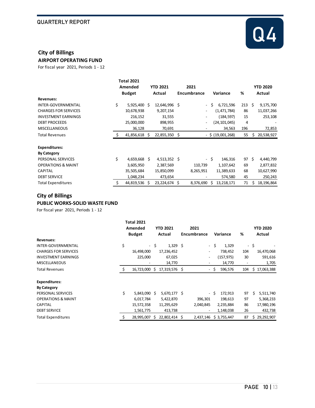

# **City of Billings**

**AIRPORT OPERATING FUND**

For fiscal year 2021, Periods 1 - 12

|                               | <b>Total 2021</b> |               |  |                 |  |                          |                     |                |    |                 |
|-------------------------------|-------------------|---------------|--|-----------------|--|--------------------------|---------------------|----------------|----|-----------------|
|                               |                   | Amended       |  | <b>YTD 2021</b> |  | 2021                     |                     |                |    | <b>YTD 2020</b> |
|                               |                   | <b>Budget</b> |  | Actual          |  | Encumbrance              | Variance            | %              |    | Actual          |
| <b>Revenues:</b>              |                   |               |  |                 |  |                          |                     |                |    |                 |
| <b>INTER-GOVERNMENTAL</b>     | \$                | 5,925,400 \$  |  | 12,646,996 \$   |  | Ŝ<br>$\sim$              | 6,721,596           | $213 \quad $5$ |    | 9,175,700       |
| <b>CHARGES FOR SERVICES</b>   |                   | 10,678,938    |  | 9,207,154       |  | $\overline{\phantom{a}}$ | (1,471,784)         | 86             |    | 11,037,266      |
| <b>INVESTMENT EARNINGS</b>    |                   | 216,152       |  | 31,555          |  | $\overline{\phantom{a}}$ | (184, 597)          | 15             |    | 253,108         |
| <b>DEBT PROCEEDS</b>          |                   | 25,000,000    |  | 898,955         |  | $\overline{\phantom{a}}$ | (24,101,045)        | 4              |    |                 |
| <b>MISCELLANEOUS</b>          |                   | 36,128        |  | 70,691          |  | $\overline{\phantom{a}}$ | 34,563              | 196            |    | 72,853          |
| <b>Total Revenues</b>         | <sup>\$</sup>     | 41,856,618 \$ |  | 22,855,350 \$   |  |                          | $-$ \$ (19,001,268) | 55             | Ŝ. | 20,538,927      |
| <b>Expenditures:</b>          |                   |               |  |                 |  |                          |                     |                |    |                 |
| <b>By Category</b>            |                   |               |  |                 |  |                          |                     |                |    |                 |
| PERSONAL SERVICES             | \$                | 4,659,668 \$  |  | $4,513,352$ \$  |  | - \$                     | 146,316             | 97             | Ŝ. | 4,440,799       |
| <b>OPERATIONS &amp; MAINT</b> |                   | 3,605,950     |  | 2,387,569       |  | 110,739                  | 1,107,642           | 69             |    | 2,877,832       |
| <b>CAPITAL</b>                |                   | 35,505,684    |  | 15,850,099      |  | 8,265,951                | 11,389,633          | 68             |    | 10,627,990      |
| <b>DEBT SERVICE</b>           |                   | 1,048,234     |  | 473,654         |  |                          | 574,580             | 45             |    | 250,243         |
| <b>Total Expenditures</b>     |                   | 44,819,536 \$ |  | 23,224,674 \$   |  | 8,376,690<br>S           | 13,218,171          | 71             | S  | 18,196,864      |

#### **City of Billings**

#### **PUBLIC WORKS-SOLID WASTE FUND**

|                               | <b>Total 2021</b><br>Amended<br><b>Budget</b> |      | <b>YTD 2021</b><br>Actual | 2021<br>Encumbrance      |      | Variance    | %                            |     | <b>YTD 2020</b><br>Actual |
|-------------------------------|-----------------------------------------------|------|---------------------------|--------------------------|------|-------------|------------------------------|-----|---------------------------|
| Revenues:                     |                                               |      |                           |                          |      |             |                              |     |                           |
| <b>INTER-GOVERNMENTAL</b>     | \$                                            | - \$ | $1,329$ \$                |                          | - \$ | 1,329       |                              | -\$ |                           |
| <b>CHARGES FOR SERVICES</b>   | 16,498,000                                    |      | 17,236,452                | $\overline{\phantom{a}}$ |      | 738,452     | 104                          |     | 16,470,068                |
| <b>INVESTMENT EARNINGS</b>    | 225,000                                       |      | 67,025                    | $\overline{\phantom{a}}$ |      | (157,975)   | 30                           |     | 591,616                   |
| <b>MISCELLANEOUS</b>          |                                               |      | 14,770                    |                          |      | 14,770      | $\qquad \qquad \blacksquare$ |     | 1,705                     |
| Total Revenues                | 16,723,000 \$                                 |      | 17,319,576 \$             | $\sim$                   | -\$  | 596,576     | 104                          | Ś.  | 17,063,388                |
| <b>Expenditures:</b>          |                                               |      |                           |                          |      |             |                              |     |                           |
| <b>By Category</b>            |                                               |      |                           |                          |      |             |                              |     |                           |
| PERSONAL SERVICES             | \$<br>$5,843,090$ \$                          |      | 5,670,177 \$              |                          | - \$ | 172,913     | 97                           | Ŝ.  | 5,511,740                 |
| <b>OPERATIONS &amp; MAINT</b> | 6,017,784                                     |      | 5,422,870                 | 396,301                  |      | 198,613     | 97                           |     | 5,368,233                 |
| <b>CAPITAL</b>                | 15,572,358                                    |      | 11,295,629                | 2,040,845                |      | 2,235,884   | 86                           |     | 17,980,196                |
| <b>DEBT SERVICE</b>           | 1,561,775                                     |      | 413,738                   |                          |      | 1,148,038   | 26                           |     | 432,738                   |
| <b>Total Expenditures</b>     | 28,995,007                                    | S    | 22,802,414                | \$<br>2,437,146          |      | \$3,755,447 | 87                           | S   | 29,292,907                |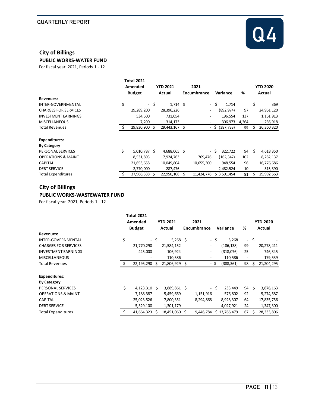

#### **City of Billings**

**PUBLIC WORKS-WATER FUND**

For fiscal year 2021, Periods 1 - 12

|                               | <b>Total 2021</b><br>Amended<br><b>Budget</b> |      | <b>YTD 2021</b><br>Actual |    | 2021<br>Encumbrance          | Variance         | %     |    | <b>YTD 2020</b><br>Actual |
|-------------------------------|-----------------------------------------------|------|---------------------------|----|------------------------------|------------------|-------|----|---------------------------|
| Revenues:                     |                                               |      |                           |    |                              |                  |       |    |                           |
| <b>INTER-GOVERNMENTAL</b>     | \$                                            | - \$ | $1,714$ \$                |    | - \$                         | 1,714            |       | \$ | 369                       |
| <b>CHARGES FOR SERVICES</b>   | 29,289,200                                    |      | 28,396,226                |    | $\overline{a}$               | (892,974)        | 97    |    | 24,961,120                |
| <b>INVESTMENT EARNINGS</b>    | 534,500                                       |      | 731,054                   |    | $\overline{\phantom{0}}$     | 196,554          | 137   |    | 1,161,913                 |
| <b>MISCELLANEOUS</b>          | 7,200                                         |      | 314,173                   |    | $\qquad \qquad \blacksquare$ | 306,973          | 4,364 |    | 236,918                   |
| <b>Total Revenues</b>         | 29,830,900 \$                                 |      | 29,443,167                | \$ |                              | $-$ \$ (387,733) | 99    |    | 26,360,320                |
| <b>Expenditures:</b>          |                                               |      |                           |    |                              |                  |       |    |                           |
| <b>By Category</b>            |                                               |      |                           |    |                              |                  |       |    |                           |
| PERSONAL SERVICES             | \$<br>5,010,787 \$                            |      | 4,688,065 \$              |    | - \$                         | 322,722          | 94    | Ŝ. | 4,618,350                 |
| <b>OPERATIONS &amp; MAINT</b> | 8,531,893                                     |      | 7,924,763                 |    | 769,476                      | (162,347)        | 102   |    | 8,282,137                 |
| <b>CAPITAL</b>                | 21,653,658                                    |      | 10,049,804                |    | 10,655,300                   | 948,554          | 96    |    | 16,776,686                |
| <b>DEBT SERVICE</b>           | 2,770,000                                     |      | 287,476                   |    | $\overline{\phantom{a}}$     | 2,482,524        | 10    |    | 315,390                   |
| <b>Total Expenditures</b>     | 37,966,338 \$                                 |      | 22,950,108                | Ś. | 11,424,776                   | \$3,591,454      | 91    |    | 29,992,563                |

#### **City of Billings PUBLIC WORKS-WASTEWATER FUND**

|                               | <b>Total 2021</b><br>Amended |      | <b>YTD 2021</b> | 2021                     |      |              |    |      | <b>YTD 2020</b> |
|-------------------------------|------------------------------|------|-----------------|--------------------------|------|--------------|----|------|-----------------|
|                               | <b>Budget</b>                |      | Actual          | Encumbrance              |      | Variance     | %  |      | Actual          |
| <b>Revenues:</b>              |                              |      |                 |                          |      |              |    |      |                 |
| <b>INTER-GOVERNMENTAL</b>     | \$                           | - \$ | $5,268$ \$      |                          | - \$ | 5,268        |    | - \$ |                 |
| <b>CHARGES FOR SERVICES</b>   | 21,770,290                   |      | 21,584,152      | $\overline{\phantom{a}}$ |      | (186, 138)   | 99 |      | 20,278,411      |
| <b>INVESTMENT EARNINGS</b>    | 425,000                      |      | 106,924         | $\overline{\phantom{a}}$ |      | (318,076)    | 25 |      | 746,345         |
| <b>MISCELLANEOUS</b>          |                              |      | 110,586         | -                        |      | 110,586      |    |      | 179,539         |
| <b>Total Revenues</b>         | 22,195,290 \$                |      | 21,806,929 \$   |                          | - \$ | (388, 361)   | 98 | \$.  | 21, 204, 295    |
| <b>Expenditures:</b>          |                              |      |                 |                          |      |              |    |      |                 |
| <b>By Category</b>            |                              |      |                 |                          |      |              |    |      |                 |
| PERSONAL SERVICES             | \$<br>$4,123,310$ \$         |      | 3,889,861 \$    |                          | - \$ | 233,449      | 94 | - \$ | 3,876,163       |
| <b>OPERATIONS &amp; MAINT</b> | 7,188,387                    |      | 5,459,669       | 1,151,916                |      | 576,802      | 92 |      | 5,274,587       |
| <b>CAPITAL</b>                | 25,023,526                   |      | 7,800,351       | 8,294,868                |      | 8,928,307    | 64 |      | 17,835,756      |
| <b>DEBT SERVICE</b>           | 5,329,100                    |      | 1,301,179       |                          |      | 4,027,921    | 24 |      | 1,347,300       |
| <b>Total Expenditures</b>     | 41,664,323                   | .S   | 18,451,060 \$   | 9,446,784                |      | \$13,766,479 | 67 | Ś    | 28,333,806      |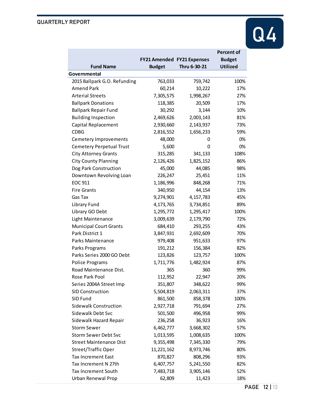

|                                 |                                   |              | <b>Percent of</b> |  |  |  |  |  |
|---------------------------------|-----------------------------------|--------------|-------------------|--|--|--|--|--|
|                                 | <b>FY21 Amended FY21 Expenses</b> |              | <b>Budget</b>     |  |  |  |  |  |
| <b>Fund Name</b>                | <b>Budget</b>                     | Thru 6-30-21 | <b>Utilized</b>   |  |  |  |  |  |
| Governmental                    |                                   |              |                   |  |  |  |  |  |
| 2015 Ballpark G.O. Refunding    | 763,033                           | 759,742      | 100%              |  |  |  |  |  |
| <b>Amend Park</b>               | 60,214                            | 10,222       | 17%               |  |  |  |  |  |
| <b>Arterial Streets</b>         | 7,305,575                         | 1,998,267    | 27%               |  |  |  |  |  |
| <b>Ballpark Donations</b>       | 118,385                           | 20,509       | 17%               |  |  |  |  |  |
| <b>Ballpark Repair Fund</b>     | 30,292                            | 3,144        | 10%               |  |  |  |  |  |
| <b>Building Inspection</b>      | 2,469,626                         | 2,003,143    | 81%               |  |  |  |  |  |
| Capital Replacement             | 2,930,660                         | 2,143,937    | 73%               |  |  |  |  |  |
| <b>CDBG</b>                     | 2,816,552                         | 1,656,233    | 59%               |  |  |  |  |  |
| Cemetery Improvements           | 48,000                            | 0            | 0%                |  |  |  |  |  |
| <b>Cemetery Perpetual Trust</b> | 5,600                             | 0            | 0%                |  |  |  |  |  |
| <b>City Attorney Grants</b>     | 315,285                           | 341,133      | 108%              |  |  |  |  |  |
| <b>City County Planning</b>     | 2,126,426                         | 1,825,152    | 86%               |  |  |  |  |  |
| Dog Park Construction           | 45,000                            | 44,085       | 98%               |  |  |  |  |  |
| Downtown Revolving Loan         | 226,247                           | 25,451       | 11%               |  |  |  |  |  |
| EOC 911                         | 1,186,996                         | 848,268      | 71%               |  |  |  |  |  |
| <b>Fire Grants</b>              | 340,950                           | 44,154       | 13%               |  |  |  |  |  |
| Gas Tax                         | 9,274,901                         | 4,157,783    | 45%               |  |  |  |  |  |
| Library Fund                    | 4,173,765                         | 3,734,851    | 89%               |  |  |  |  |  |
| Library GO Debt                 | 1,295,772                         | 1,295,417    | 100%              |  |  |  |  |  |
| Light Maintenance               | 3,009,639                         | 2,179,790    | 72%               |  |  |  |  |  |
| <b>Municipal Court Grants</b>   | 684,410                           | 293,255      | 43%               |  |  |  |  |  |
| Park District 1                 | 3,847,931                         | 2,692,609    | 70%               |  |  |  |  |  |
| Parks Maintenance               | 979,408                           | 951,633      | 97%               |  |  |  |  |  |
| Parks Programs                  | 191,212                           | 156,384      | 82%               |  |  |  |  |  |
| Parks Series 2000 GO Debt       | 123,826                           | 123,757      | 100%              |  |  |  |  |  |
| Police Programs                 | 1,711,776                         | 1,482,924    | 87%               |  |  |  |  |  |
| Road Maintenance Dist.          | 365                               | 360          | 99%               |  |  |  |  |  |
| Rose Park Pool                  | 112,952                           | 22,947       | 20%               |  |  |  |  |  |
| Series 2004A Street Imp         | 351,807                           | 348,622      | 99%               |  |  |  |  |  |
| <b>SID Construction</b>         | 5,504,819                         | 2,063,311    | 37%               |  |  |  |  |  |
| SID Fund                        | 861,500                           | 858,378      | 100%              |  |  |  |  |  |
| Sidewalk Construction           | 2,927,718                         | 791,694      | 27%               |  |  |  |  |  |
| Sidewalk Debt Svc               | 501,500                           | 496,958      | 99%               |  |  |  |  |  |
| Sidewalk Hazard Repair          | 236,258                           | 36,923       | 16%               |  |  |  |  |  |
| <b>Storm Sewer</b>              | 6,462,777                         | 3,668,302    | 57%               |  |  |  |  |  |
| <b>Storm Sewer Debt Svc</b>     | 1,013,595                         | 1,008,635    | 100%              |  |  |  |  |  |
| <b>Street Maintenance Dist</b>  | 9,355,498                         | 7,345,330    | 79%               |  |  |  |  |  |
| Street/Traffic Oper             | 11,221,162                        | 8,973,746    | 80%               |  |  |  |  |  |
| <b>Tax Increment East</b>       | 870,827                           | 808,296      | 93%               |  |  |  |  |  |
| Tax Increment N 27th            | 6,407,757                         | 5,241,550    | 82%               |  |  |  |  |  |
| <b>Tax Increment South</b>      | 7,483,718                         | 3,905,146    | 52%               |  |  |  |  |  |
| Urban Renewal Prop              | 62,809                            | 11,423       | 18%               |  |  |  |  |  |
|                                 |                                   |              |                   |  |  |  |  |  |